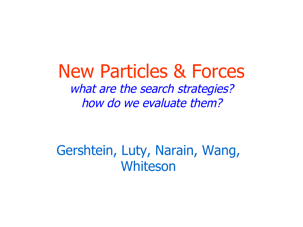## New Particles & Forces what are the search strategies? how do we evaluate them?

## Gershtein, Luty, Narain, Wang, Whiteson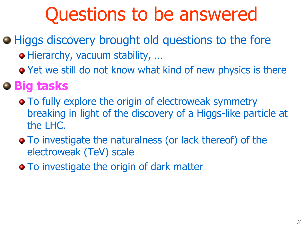# Questions to be answered

- **Higgs discovery brought old questions to the fore** Hierarchy, vacuum stability, …
	- Yet we still do not know what kind of new physics is there

## **Big tasks**

- To fully explore the origin of electroweak symmetry breaking in light of the discovery of a Higgs-like particle at the LHC.
- To investigate the naturalness (or lack thereof) of the electroweak (TeV) scale
- To investigate the origin of dark matter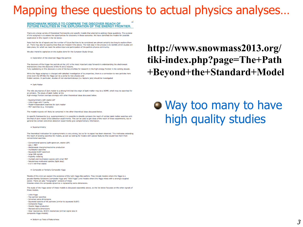### Mapping these questions to actual physics analyses...

#### BENCHMARK MODELS TO COMPARE THE DISCOVER REACH OF FUTURE FACILITIES IN THE EXPLORATION OF THE ENERGY FRONTIER.

There are a large variety of theoretical frameworks and specific models that attempt to address these questions. The purpose of this subgroup is to assess the opportunities for discovery in these scenarios. We have identified the models for possible exploration in this report in the list below.

Note that the list of signals and the number of future facilities to be considered are almost certainly too long to explore them all. There may also be opportunities that are missed in the above. The next step in the process is to identify which studies will take place, for which we need the active input and participation of the particle physics community.

We also intend to capitalize on the studies done for the European Study Group

. Exploration of the observed Higgs-like particle

The discovery of the Higgs-like particle at the LHC is the most important step forward in understanding the electroweak interactions since the discovery of the W and Z bosons. Fully capitalizing on this discovery is one of the top priorities for research in the high-energy frontier in the coming decade.

While the Higgs subgroup is charged with detailed investigation of its properties, there is a connection to new particles here

since even the SM-like the Higgs can be a portal to new physics and hidden sectors. In particular, studies of non-standard decays (i.e. leptonic jets) should be investigated

. Dark Matter

The relic abundance of dark matter is a strong hint that the origin of dark matter may be a WIMP, which may be searched for at colliders. The study of dark matter at the high-energy frontier overlaps strongly with other theoretical ideas discussed below.

- Supersymmetry with stable LSP

- Little Higgs with T-parity

- Model-independent searches for dark matter

- MET searches (e.g. monojets)

The models+signals will likely be contained in the other theoretical ideas discussed below.

In specific frameworks (e.g. supersymmetry) it is possible to directly compare the reach of collider dark matter searches with the that of dark matter direct detection experiments. This can be used to get ideas of the reach of these experiments, but in general the collider and direct detection experiments give complementary information.

· Supersymmetry

The theoretical motivation for supersymmetry is very strong, but so far no signal has been observed. This motivates extending the reach of existing searches for models, as well as looking for models with special features that would hide them from conventional searches.

- Conventional spectra (split spectrum, stable LSP)

- $-$  jets  $+$  MET - electroweak chargino/neutralino production
- multilepton searches
- Squeezed SUSY spectrum
- large ISR signals
- R-parity violating
- multijet and multilepton signals with small MET
- Naturalness-motivated spectra (light stop)
- b or t rich final states

· Composite or Partially Composite Higgs

Models of this kind can explain the existence of the light Higgs-like particle. They include models where the Higgs is a psuedo-Nambu Goldstone (composte Higgs and "little Higgs") and models where the Higgs mixes with a strongly-coupled sector. There are also "holographic" versions of these theories where the composite dynamics is replaced by extra dimensions.

The study of the Higgs sector of these models is discussed separately above, so the list below focusses on the other signals of these models.

- Little Higgs
- Top partner searches
- Universal extra dimensions
- Squeezed spectra of KK partners (similar to squeezed SUSY)
- Composite Higgs
- Double Higgs production
- Warped extra dimensions
- ttbar resonances, W/Z/h resonances (similar signal also in composite Higgs models)
- 

http://www.snowmass2013.org/ tiki-index.php?page=The+Path +Beyond+the+Standard+Model

• Way too many to have high quality studies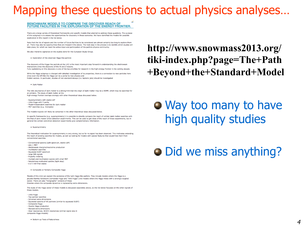### Mapping these questions to actual physics analyses...

#### BENCHMARK MODELS TO COMPARE THE DISCOVER REACH OF FUTURE FACILITIES IN THE EXPLORATION OF THE ENERGY FRONTIER.

There are a large variety of theoretical frameworks and specific models that attempt to address these questions. The purpose of this subgroup is to assess the opportunities for discovery in these scenarios. We have identified the models for possible exploration in this report in the list below.

Note that the list of signals and the number of future facilities to be considered are almost certainly too long to explore them all. There may also be opportunities that are missed in the above. The next step in the process is to identify which studies will take place, for which we need the active input and participation of the particle physics community.

We also intend to capitalize on the studies done for the European Study Group

. Exploration of the observed Higgs-like particle

The discovery of the Higgs-like particle at the LHC is the most important step forward in understanding the electroweak interactions since the discovery of the W and Z bosons.

Fully capitalizing on this discovery is one of the top priorities for research in the high-energy frontier in the coming decade. While the Higgs subgroup is charged with detailed investigation of its properties, there is a connection to new particles here

since even the SM-like the Higgs can be a portal to new physics and hidden sectors. In particular, studies of non-standard decays (i.e. leptonic jets) should be investigated

. Dark Matter

The relic abundance of dark matter is a strong hint that the origin of dark matter may be a WIMP, which may be searched for at colliders. The study of dark matter at the high-energy frontier overlaps strongly with other theoretical ideas discussed below.

- Supersymmetry with stable LSP

- Little Higgs with T-parity

- Model-independent searches for dark matter

- MET searches (e.g. monojets)

The models+signals will likely be contained in the other theoretical ideas discussed below.

In specific frameworks (e.g. supersymmetry) it is possible to directly compare the reach of collider dark matter searches with the that of dark matter direct detection experiments. This can be used to get ideas of the reach of these experiments, but in general the collider and direct detection experiments give complementary information.

· Supersymmetry

The theoretical motivation for supersymmetry is very strong, but so far no signal has been observed. This motivates extending the reach of existing searches for models, as well as looking for models with special features that would hide them from conventional searches.

- Conventional spectra (split spectrum, stable LSP)

- $-$  jets  $+$  MET - electroweak chargino/neutralino production
- 
- multilepton searches
- Squeezed SUSY spectrum
- large ISR signals - R-parity violating

- multijet and multilepton signals with small MET - Naturalness-motivated spectra (light stop)
- b or t rich final states

· Composite or Partially Composite Higgs

Models of this kind can explain the existence of the light Higgs-like particle. They include models where the Higgs is a psuedo-Nambu Goldstone (composte Higgs and "little Higgs") and models where the Higgs mixes with a strongly-coupled sector. There are also "holographic" versions of these theories where the composite dynamics is replaced by extra dimensions.

The study of the Higgs sector of these models is discussed separately above, so the list below focusses on the other signals of these models.

- Little Higgs
- Top partner searches
- Universal extra dimensions
- Squeezed spectra of KK partners (similar to squeezed SUSY)
- Composite Higgs
- Double Higgs production
- Warped extra dimensions
- ttbar resonances, W/Z/h resonances (similar signal also in composite Higgs models)

. Bottom-up Tests of Naturalness

### http://www.snowmass2013.org/ tiki-index.php?page=The+Path +Beyond+the+Standard+Model

• Way too many to have high quality studies

### • Did we miss anything?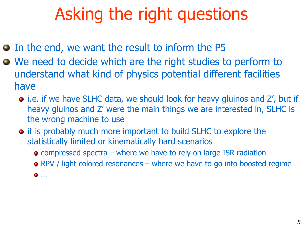## Asking the right questions

- $\bullet$  In the end, we want the result to inform the P5
- We need to decide which are the right studies to perform to understand what kind of physics potential different facilities have
	- i.e. if we have SLHC data, we should look for heavy gluinos and Z', but if heavy gluinos and Z' were the main things we are interested in, SLHC is the wrong machine to use
	- it is probably much more important to build SLHC to explore the statistically limited or kinematically hard scenarios
		- compressed spectra where we have to rely on large ISR radiation
		- RPV / light colored resonances where we have to go into boosted regime
		- …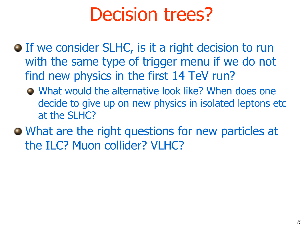# Decision trees?

- **If we consider SLHC, is it a right decision to run** with the same type of trigger menu if we do not find new physics in the first 14 TeV run?
	- What would the alternative look like? When does one decide to give up on new physics in isolated leptons etc at the SLHC?
- What are the right questions for new particles at the ILC? Muon collider? VLHC?